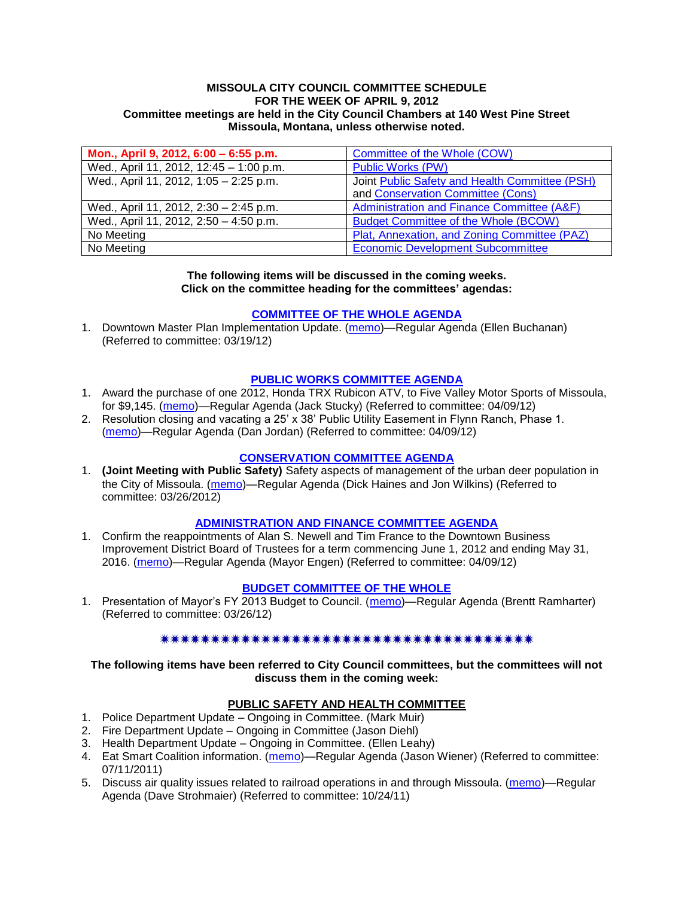#### **MISSOULA CITY COUNCIL COMMITTEE SCHEDULE FOR THE WEEK OF APRIL 9, 2012 Committee meetings are held in the City Council Chambers at 140 West Pine Street Missoula, Montana, unless otherwise noted.**

| Mon., April 9, 2012, 6:00 - 6:55 p.m.   | Committee of the Whole (COW)                   |
|-----------------------------------------|------------------------------------------------|
| Wed., April 11, 2012, 12:45 - 1:00 p.m. | <b>Public Works (PW)</b>                       |
| Wed., April 11, 2012, 1:05 - 2:25 p.m.  | Joint Public Safety and Health Committee (PSH) |
|                                         | and Conservation Committee (Cons)              |
| Wed., April 11, 2012, 2:30 - 2:45 p.m.  | Administration and Finance Committee (A&F)     |
| Wed., April 11, 2012, 2:50 - 4:50 p.m.  | <b>Budget Committee of the Whole (BCOW)</b>    |
| No Meeting                              | Plat, Annexation, and Zoning Committee (PAZ)   |
| No Meeting                              | <b>Economic Development Subcommittee</b>       |

#### **The following items will be discussed in the coming weeks. Click on the committee heading for the committees' agendas:**

### **[COMMITTEE OF THE](http://www.ci.missoula.mt.us/DocumentCenterii.aspx?FID=834) WHOLE AGENDA**

1. Downtown Master Plan Implementation Update. [\(memo\)](http://www.ci.missoula.mt.us/DocumentView.aspx?DID=8485)—Regular Agenda (Ellen Buchanan) (Referred to committee: 03/19/12)

### **[PUBLIC WORKS COMMITTEE AGENDA](http://www.ci.missoula.mt.us/DocumentCenterii.aspx?FID=833)**

- 1. Award the purchase of one 2012, Honda TRX Rubicon ATV, to Five Valley Motor Sports of Missoula, for \$9,145. [\(memo\)](http://www.ci.missoula.mt.us/DocumentCenter/Home/View/18729)—Regular Agenda (Jack Stucky) (Referred to committee: 04/09/12)
- 2. Resolution closing and vacating a 25' x 38' Public Utility Easement in Flynn Ranch, Phase 1. [\(memo\)](http://www.ci.missoula.mt.us/DocumentCenter/Home/View/18730)—Regular Agenda (Dan Jordan) (Referred to committee: 04/09/12)

### **[CONSERVATION COMMITTEE AGENDA](http://www.ci.missoula.mt.us/DocumentCenterii.aspx?FID=832)**

1. **(Joint Meeting with Public Safety)** Safety aspects of management of the urban deer population in the City of Missoula. [\(memo\)](http://www.ci.missoula.mt.us/DocumentView.aspx?DID=8528)—Regular Agenda (Dick Haines and Jon Wilkins) (Referred to committee: 03/26/2012)

### **[ADMINISTRATION AND FINANCE COMMITTEE AGENDA](http://www.ci.missoula.mt.us/DocumentCenterii.aspx?FID=830)**

1. Confirm the reappointments of Alan S. Newell and Tim France to the Downtown Business Improvement District Board of Trustees for a term commencing June 1, 2012 and ending May 31, 2016. [\(memo\)](http://www.ci.missoula.mt.us/DocumentCenter/Home/View/18721)—Regular Agenda (Mayor Engen) (Referred to committee: 04/09/12)

# **[BUDGET COMMITTEE OF THE WHOLE](http://www.ci.missoula.mt.us/DocumentCenterii.aspx?FID=835)**

1. Presentation of Mayor's FY 2013 Budget to Council. [\(memo\)](http://www.ci.missoula.mt.us/DocumentView.aspx?DID=8520)—Regular Agenda (Brentt Ramharter) (Referred to committee: 03/26/12)

# 

**The following items have been referred to City Council committees, but the committees will not discuss them in the coming week:**

### **PUBLIC SAFETY AND HEALTH COMMITTEE**

- 1. Police Department Update Ongoing in Committee. (Mark Muir)
- 2. Fire Department Update Ongoing in Committee (Jason Diehl)
- 3. Health Department Update Ongoing in Committee. (Ellen Leahy)
- 4. Eat Smart Coalition information. [\(memo\)](http://www.ci.missoula.mt.us/DocumentView.aspx?DID=6776)—Regular Agenda (Jason Wiener) (Referred to committee: 07/11/2011)
- 5. Discuss air quality issues related to railroad operations in and through Missoula. [\(memo\)](http://www.ci.missoula.mt.us/DocumentView.aspx?DID=7495)—Regular Agenda (Dave Strohmaier) (Referred to committee: 10/24/11)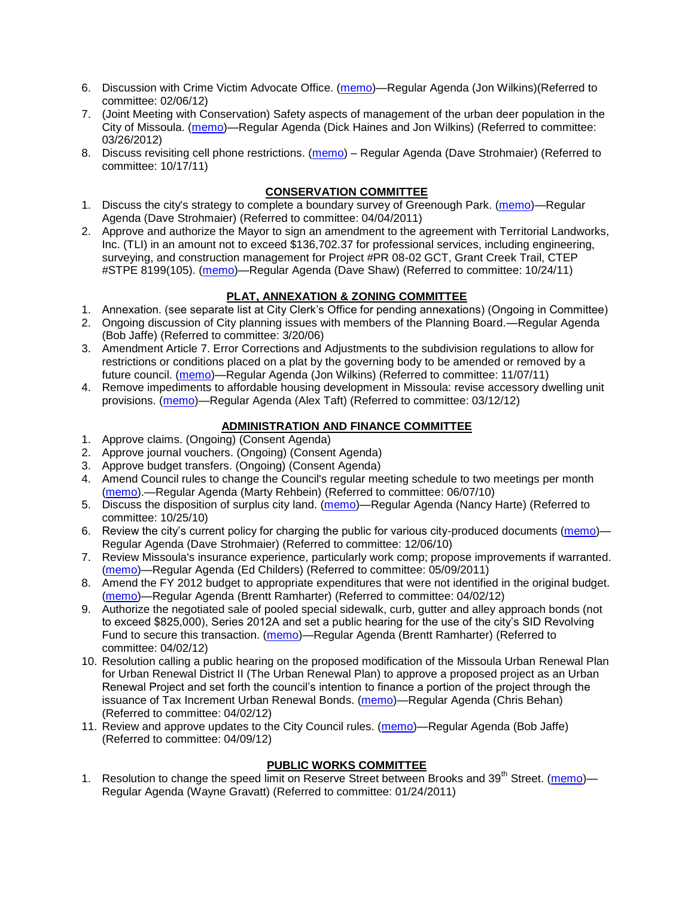- 6. Discussion with Crime Victim Advocate Office. [\(memo\)](http://www.ci.missoula.mt.us/DocumentView.aspx?DID=8109)—Regular Agenda (Jon Wilkins)(Referred to committee: 02/06/12)
- 7. (Joint Meeting with Conservation) Safety aspects of management of the urban deer population in the City of Missoula. [\(memo\)](http://www.ci.missoula.mt.us/DocumentView.aspx?DID=8528)—Regular Agenda (Dick Haines and Jon Wilkins) (Referred to committee: 03/26/2012)
- 8. Discuss revisiting cell phone restrictions. [\(memo\)](http://www.ci.missoula.mt.us/DocumentView.aspx?DID=7420) Regular Agenda (Dave Strohmaier) (Referred to committee: 10/17/11)

# **CONSERVATION COMMITTEE**

- 1. Discuss the city's strategy to complete a boundary survey of Greenough Park. [\(memo\)](http://www.ci.missoula.mt.us/DocumentView.aspx?DID=5875)—Regular Agenda (Dave Strohmaier) (Referred to committee: 04/04/2011)
- 2. Approve and authorize the Mayor to sign an amendment to the agreement with Territorial Landworks, Inc. (TLI) in an amount not to exceed \$136,702.37 for professional services, including engineering, surveying, and construction management for Project #PR 08-02 GCT, Grant Creek Trail, CTEP #STPE 8199(105). [\(memo\)](http://www.ci.missoula.mt.us/DocumentView.aspx?DID=7494)—Regular Agenda (Dave Shaw) (Referred to committee: 10/24/11)

# **PLAT, ANNEXATION & ZONING COMMITTEE**

- 1. Annexation. (see separate list at City Clerk's Office for pending annexations) (Ongoing in Committee)
- 2. Ongoing discussion of City planning issues with members of the Planning Board.—Regular Agenda (Bob Jaffe) (Referred to committee: 3/20/06)
- 3. Amendment Article 7. Error Corrections and Adjustments to the subdivision regulations to allow for restrictions or conditions placed on a plat by the governing body to be amended or removed by a future council. [\(memo\)](http://www.ci.missoula.mt.us/DocumentView.aspx?DID=7568)—Regular Agenda (Jon Wilkins) (Referred to committee: 11/07/11)
- 4. Remove impediments to affordable housing development in Missoula: revise accessory dwelling unit provisions. [\(memo\)](http://www.ci.missoula.mt.us/DocumentView.aspx?DID=8421)—Regular Agenda (Alex Taft) (Referred to committee: 03/12/12)

# **ADMINISTRATION AND FINANCE COMMITTEE**

- 1. Approve claims. (Ongoing) (Consent Agenda)
- 2. Approve journal vouchers. (Ongoing) (Consent Agenda)
- 3. Approve budget transfers. (Ongoing) (Consent Agenda)
- 4. Amend Council rules to change the Council's regular meeting schedule to two meetings per month [\(memo\)](http://www.ci.missoula.mt.us/DocumentView.aspx?DID=4027).—Regular Agenda (Marty Rehbein) (Referred to committee: 06/07/10)
- 5. Discuss the disposition of surplus city land. [\(memo\)](http://www.ci.missoula.mt.us/DocumentView.aspx?DID=4862)—Regular Agenda (Nancy Harte) (Referred to committee: 10/25/10)
- 6. Review the city's current policy for charging the public for various city-produced documents [\(memo\)](http://www.ci.missoula.mt.us/DocumentView.aspx?DID=5143) Regular Agenda (Dave Strohmaier) (Referred to committee: 12/06/10)
- 7. Review Missoula's insurance experience, particularly work comp; propose improvements if warranted. [\(memo\)](http://www.ci.missoula.mt.us/DocumentView.aspx?DID=6381)—Regular Agenda (Ed Childers) (Referred to committee: 05/09/2011)
- 8. Amend the FY 2012 budget to appropriate expenditures that were not identified in the original budget. [\(memo\)](http://www.ci.missoula.mt.us/DocumentView.aspx?DID=8601)—Regular Agenda (Brentt Ramharter) (Referred to committee: 04/02/12)
- 9. Authorize the negotiated sale of pooled special sidewalk, curb, gutter and alley approach bonds (not to exceed \$825,000), Series 2012A and set a public hearing for the use of the city's SID Revolving Fund to secure this transaction. [\(memo\)](http://www.ci.missoula.mt.us/DocumentView.aspx?DID=8599)—Regular Agenda (Brentt Ramharter) (Referred to committee: 04/02/12)
- 10. Resolution calling a public hearing on the proposed modification of the Missoula Urban Renewal Plan for Urban Renewal District II (The Urban Renewal Plan) to approve a proposed project as an Urban Renewal Project and set forth the council's intention to finance a portion of the project through the issuance of Tax Increment Urban Renewal Bonds. [\(memo\)](http://www.ci.missoula.mt.us/DocumentView.aspx?DID=8602)—Regular Agenda (Chris Behan) (Referred to committee: 04/02/12)
- 11. Review and approve updates to the City Council rules. [\(memo\)](http://www.ci.missoula.mt.us/DocumentCenter/Home/View/18722)—Regular Agenda (Bob Jaffe) (Referred to committee: 04/09/12)

# **PUBLIC WORKS COMMITTEE**

1. Resolution to change the speed limit on Reserve Street between Brooks and 39<sup>th</sup> Street. [\(memo\)](http://www.ci.missoula.mt.us/DocumentView.aspx?DID=5418)— Regular Agenda (Wayne Gravatt) (Referred to committee: 01/24/2011)